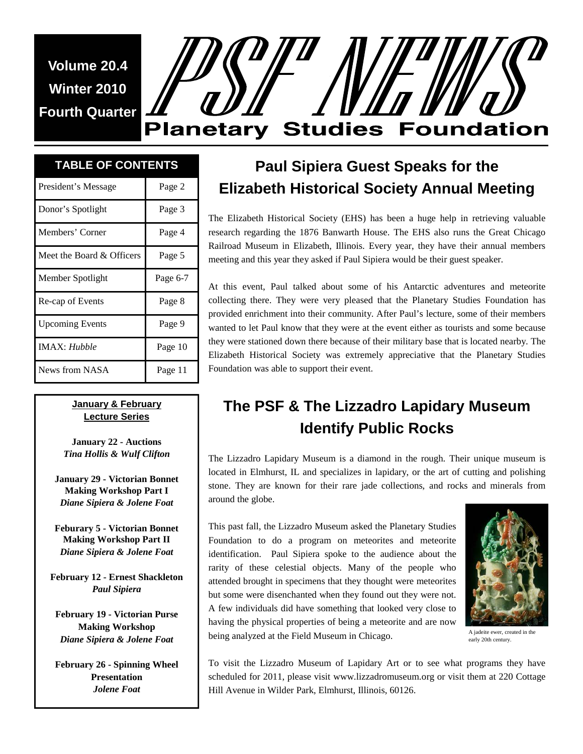**Volume 20.4 Winter 2010 Fourth Quarter** 

# **Planetary Studies Foundation**

# **TABLE OF CONTENTS**

| President's Message       | Page 2   |
|---------------------------|----------|
| Donor's Spotlight         | Page 3   |
| Members' Corner           | Page 4   |
| Meet the Board & Officers | Page 5   |
| Member Spotlight          | Page 6-7 |
| Re-cap of Events          | Page 8   |
| <b>Upcoming Events</b>    | Page 9   |
| <b>IMAX</b> : Hubble      | Page 10  |
| News from NASA            | Page 11  |

#### **January & February Lecture Series**

**January 22 - Auctions**  *Tina Hollis & Wulf Clifton* 

**January 29 - Victorian Bonnet Making Workshop Part I**  *Diane Sipiera & Jolene Foat* 

**Feburary 5 - Victorian Bonnet Making Workshop Part II**  *Diane Sipiera & Jolene Foat* 

**February 12 - Ernest Shackleton**  *Paul Sipiera* 

**February 19 - Victorian Purse Making Workshop**  *Diane Sipiera & Jolene Foat* 

**February 26 - Spinning Wheel Presentation**  *Jolene Foat* 

# **Paul Sipiera Guest Speaks for the Elizabeth Historical Society Annual Meeting**

The Elizabeth Historical Society (EHS) has been a huge help in retrieving valuable research regarding the 1876 Banwarth House. The EHS also runs the Great Chicago Railroad Museum in Elizabeth, Illinois. Every year, they have their annual members meeting and this year they asked if Paul Sipiera would be their guest speaker.

At this event, Paul talked about some of his Antarctic adventures and meteorite collecting there. They were very pleased that the Planetary Studies Foundation has provided enrichment into their community. After Paul's lecture, some of their members wanted to let Paul know that they were at the event either as tourists and some because they were stationed down there because of their military base that is located nearby. The Elizabeth Historical Society was extremely appreciative that the Planetary Studies Foundation was able to support their event.

## **The PSF & The Lizzadro Lapidary Museum Identify Public Rocks**

The Lizzadro Lapidary Museum is a diamond in the rough. Their unique museum is located in Elmhurst, IL and specializes in lapidary, or the art of cutting and polishing stone. They are known for their rare jade collections, and rocks and minerals from around the globe.

This past fall, the Lizzadro Museum asked the Planetary Studies Foundation to do a program on meteorites and meteorite identification. Paul Sipiera spoke to the audience about the rarity of these celestial objects. Many of the people who attended brought in specimens that they thought were meteorites but some were disenchanted when they found out they were not. A few individuals did have something that looked very close to having the physical properties of being a meteorite and are now being analyzed at the Field Museum in Chicago.



A jadeite ewer, created in the early 20th century.

To visit the Lizzadro Museum of Lapidary Art or to see what programs they have scheduled for 2011, please visit www.lizzadromuseum.org or visit them at 220 Cottage Hill Avenue in Wilder Park, Elmhurst, Illinois, 60126.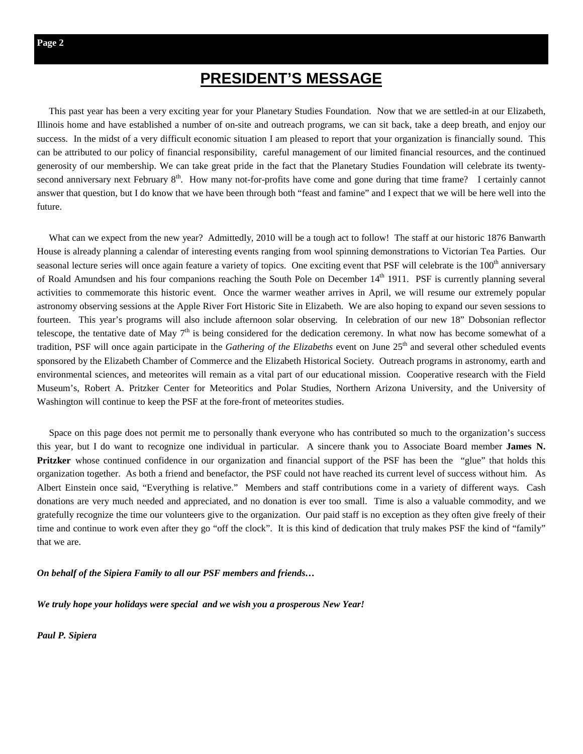## **PRESIDENT'S MESSAGE**

 This past year has been a very exciting year for your Planetary Studies Foundation. Now that we are settled-in at our Elizabeth, Illinois home and have established a number of on-site and outreach programs, we can sit back, take a deep breath, and enjoy our success. In the midst of a very difficult economic situation I am pleased to report that your organization is financially sound. This can be attributed to our policy of financial responsibility, careful management of our limited financial resources, and the continued generosity of our membership. We can take great pride in the fact that the Planetary Studies Foundation will celebrate its twentysecond anniversary next February 8<sup>th</sup>. How many not-for-profits have come and gone during that time frame? I certainly cannot answer that question, but I do know that we have been through both "feast and famine" and I expect that we will be here well into the future.

 What can we expect from the new year? Admittedly, 2010 will be a tough act to follow! The staff at our historic 1876 Banwarth House is already planning a calendar of interesting events ranging from wool spinning demonstrations to Victorian Tea Parties. Our seasonal lecture series will once again feature a variety of topics. One exciting event that PSF will celebrate is the  $100<sup>th</sup>$  anniversary of Roald Amundsen and his four companions reaching the South Pole on December 14<sup>th</sup> 1911. PSF is currently planning several activities to commemorate this historic event. Once the warmer weather arrives in April, we will resume our extremely popular astronomy observing sessions at the Apple River Fort Historic Site in Elizabeth. We are also hoping to expand our seven sessions to fourteen. This year's programs will also include afternoon solar observing. In celebration of our new 18" Dobsonian reflector telescope, the tentative date of May  $7<sup>th</sup>$  is being considered for the dedication ceremony. In what now has become somewhat of a tradition, PSF will once again participate in the *Gathering of the Elizabeths* event on June 25<sup>th</sup> and several other scheduled events sponsored by the Elizabeth Chamber of Commerce and the Elizabeth Historical Society. Outreach programs in astronomy, earth and environmental sciences, and meteorites will remain as a vital part of our educational mission. Cooperative research with the Field Museum's, Robert A. Pritzker Center for Meteoritics and Polar Studies, Northern Arizona University, and the University of Washington will continue to keep the PSF at the fore-front of meteorites studies.

 Space on this page does not permit me to personally thank everyone who has contributed so much to the organization's success this year, but I do want to recognize one individual in particular. A sincere thank you to Associate Board member **James N. Pritzker** whose continued confidence in our organization and financial support of the PSF has been the "glue" that holds this organization together. As both a friend and benefactor, the PSF could not have reached its current level of success without him. As Albert Einstein once said, "Everything is relative." Members and staff contributions come in a variety of different ways. Cash donations are very much needed and appreciated, and no donation is ever too small. Time is also a valuable commodity, and we gratefully recognize the time our volunteers give to the organization. Our paid staff is no exception as they often give freely of their time and continue to work even after they go "off the clock". It is this kind of dedication that truly makes PSF the kind of "family" that we are.

*On behalf of the Sipiera Family to all our PSF members and friends…* 

*We truly hope your holidays were special and we wish you a prosperous New Year!* 

*Paul P. Sipiera*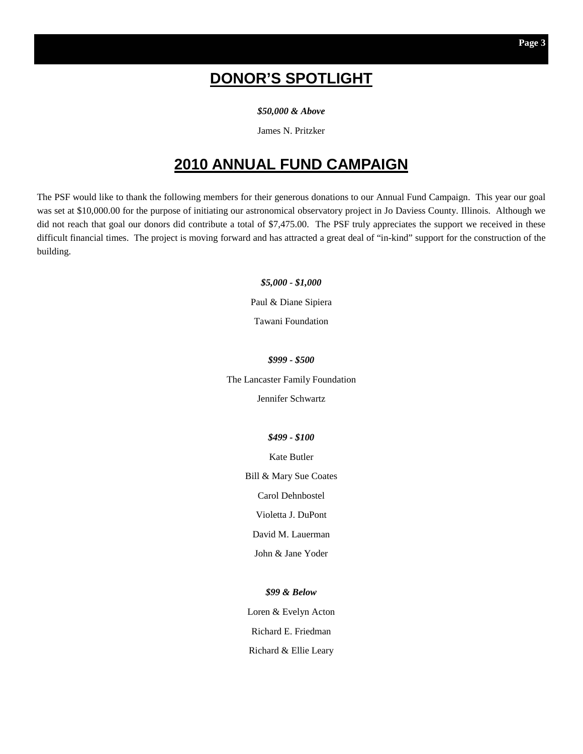## **DONOR'S SPOTLIGHT**

*\$50,000 & Above* 

James N. Pritzker

## **2010 ANNUAL FUND CAMPAIGN**

The PSF would like to thank the following members for their generous donations to our Annual Fund Campaign. This year our goal was set at \$10,000.00 for the purpose of initiating our astronomical observatory project in Jo Daviess County. Illinois. Although we did not reach that goal our donors did contribute a total of \$7,475.00. The PSF truly appreciates the support we received in these difficult financial times. The project is moving forward and has attracted a great deal of "in-kind" support for the construction of the building.

> *\$5,000 - \$1,000*  Paul & Diane Sipiera

Tawani Foundation

*\$999 - \$500* 

The Lancaster Family Foundation

Jennifer Schwartz

#### *\$499 - \$100*

Kate Butler

Bill & Mary Sue Coates

Carol Dehnbostel

Violetta J. DuPont

David M. Lauerman

John & Jane Yoder

*\$99 & Below* 

Loren & Evelyn Acton Richard E. Friedman Richard & Ellie Leary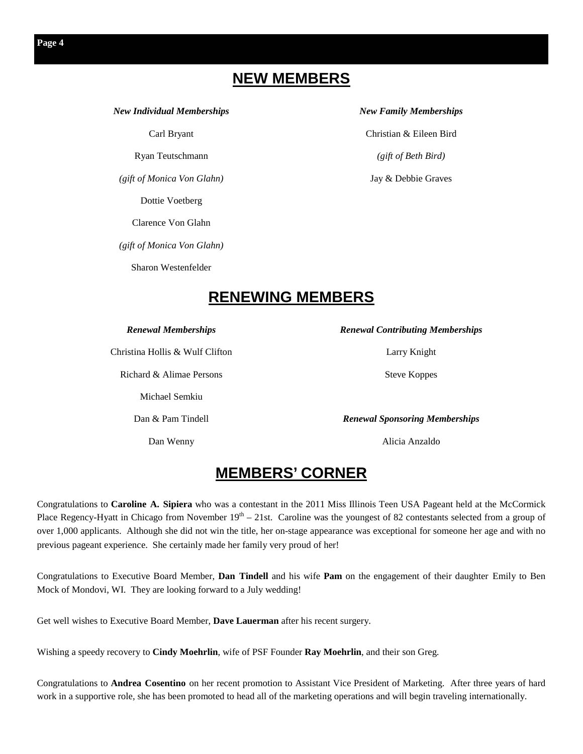## **NEW MEMBERS**

*New Individual Memberships* 

Carl Bryant

Ryan Teutschmann

*(gift of Monica Von Glahn)* 

Dottie Voetberg

Clarence Von Glahn

*(gift of Monica Von Glahn)* 

Sharon Westenfelder

#### *New Family Memberships*

Christian & Eileen Bird *(gift of Beth Bird)* 

Jay & Debbie Graves

## **RENEWING MEMBERS**

#### *Renewal Memberships*

Christina Hollis & Wulf Clifton

Richard & Alimae Persons

Michael Semkiu

Dan & Pam Tindell

Dan Wenny

*Renewal Contributing Memberships* 

Larry Knight

Steve Koppes

*Renewal Sponsoring Memberships* 

Alicia Anzaldo

### **MEMBERS' CORNER**

Congratulations to **Caroline A. Sipiera** who was a contestant in the 2011 Miss Illinois Teen USA Pageant held at the McCormick Place Regency-Hyatt in Chicago from November  $19<sup>th</sup> - 21$ st. Caroline was the youngest of 82 contestants selected from a group of over 1,000 applicants. Although she did not win the title, her on-stage appearance was exceptional for someone her age and with no previous pageant experience. She certainly made her family very proud of her!

Congratulations to Executive Board Member, **Dan Tindell** and his wife **Pam** on the engagement of their daughter Emily to Ben Mock of Mondovi, WI. They are looking forward to a July wedding!

Get well wishes to Executive Board Member, **Dave Lauerman** after his recent surgery.

Wishing a speedy recovery to **Cindy Moehrlin**, wife of PSF Founder **Ray Moehrlin**, and their son Greg.

Congratulations to **Andrea Cosentino** on her recent promotion to Assistant Vice President of Marketing. After three years of hard work in a supportive role, she has been promoted to head all of the marketing operations and will begin traveling internationally.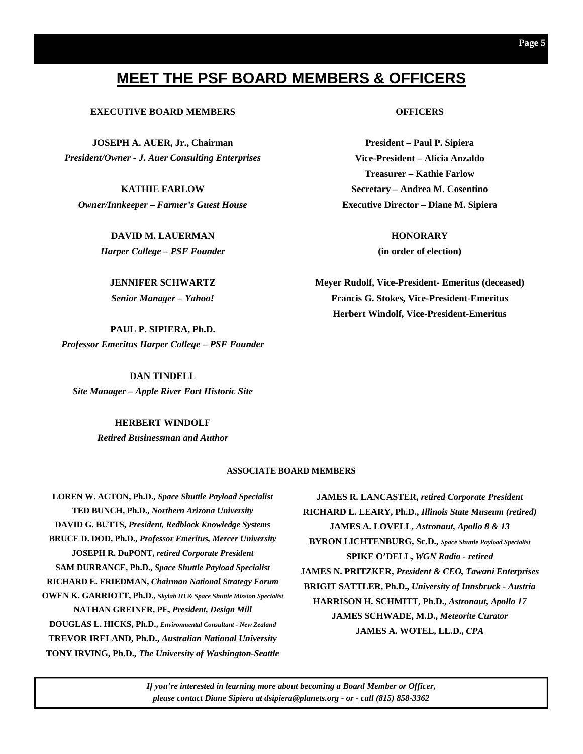## **MEET THE PSF BOARD MEMBERS & OFFICERS**

#### **EXECUTIVE BOARD MEMBERS**

**JOSEPH A. AUER, Jr., Chairman**  *President/Owner - J. Auer Consulting Enterprises* 

**KATHIE FARLOW**  *Owner/Innkeeper – Farmer's Guest House* 

> **DAVID M. LAUERMAN**  *Harper College – PSF Founder*

**JENNIFER SCHWARTZ**  *Senior Manager – Yahoo!* 

**PAUL P. SIPIERA, Ph.D.**  *Professor Emeritus Harper College – PSF Founder* 

**DAN TINDELL**  *Site Manager – Apple River Fort Historic Site* 

#### **HERBERT WINDOLF**

*Retired Businessman and Author*

#### **ASSOCIATE BOARD MEMBERS**

**LOREN W. ACTON, Ph.D.,** *Space Shuttle Payload Specialist* **TED BUNCH, Ph.D.,** *Northern Arizona University* **DAVID G. BUTTS,** *President, Redblock Knowledge Systems* **BRUCE D. DOD, Ph.D.,** *Professor Emeritus, Mercer University* **JOSEPH R. DuPONT,** *retired Corporate President*  **SAM DURRANCE, Ph.D.,** *Space Shuttle Payload Specialist* **RICHARD E. FRIEDMAN,** *Chairman National Strategy Forum* **OWEN K. GARRIOTT, Ph.D.,** *Skylab III & Space Shuttle Mission Specialist* **NATHAN GREINER, PE,** *President, Design Mill* **DOUGLAS L. HICKS, Ph.D.,** *Environmental Consultant - New Zealand*  **TREVOR IRELAND, Ph.D.,** *Australian National University* **TONY IRVING, Ph.D.,** *The University of Washington-Seattle*

**JAMES R. LANCASTER,** *retired Corporate President* **RICHARD L. LEARY, Ph.D.,** *Illinois State Museum (retired)*  **JAMES A. LOVELL,** *Astronaut, Apollo 8 & 13* **BYRON LICHTENBURG, Sc.D.,** *Space Shuttle Payload Specialist* **SPIKE O'DELL,** *WGN Radio - retired* **JAMES N. PRITZKER,** *President & CEO, Tawani Enterprises* **BRIGIT SATTLER, Ph.D.,** *University of Innsbruck - Austria* **HARRISON H. SCHMITT, Ph.D.,** *Astronaut, Apollo 17* **JAMES SCHWADE, M.D.,** *Meteorite Curator* **JAMES A. WOTEL, LL.D.,** *CPA*

*If you're interested in learning more about becoming a Board Member or Officer, please contact Diane Sipiera at dsipiera@planets.org - or - call (815) 858-3362* 

#### **OFFICERS**

**President – Paul P. Sipiera Vice-President – Alicia Anzaldo Treasurer – Kathie Farlow Secretary – Andrea M. Cosentino Executive Director – Diane M. Sipiera** 

> **HONORARY (in order of election)**

**Meyer Rudolf, Vice-President- Emeritus (deceased) Francis G. Stokes, Vice-President-Emeritus Herbert Windolf, Vice-President-Emeritus**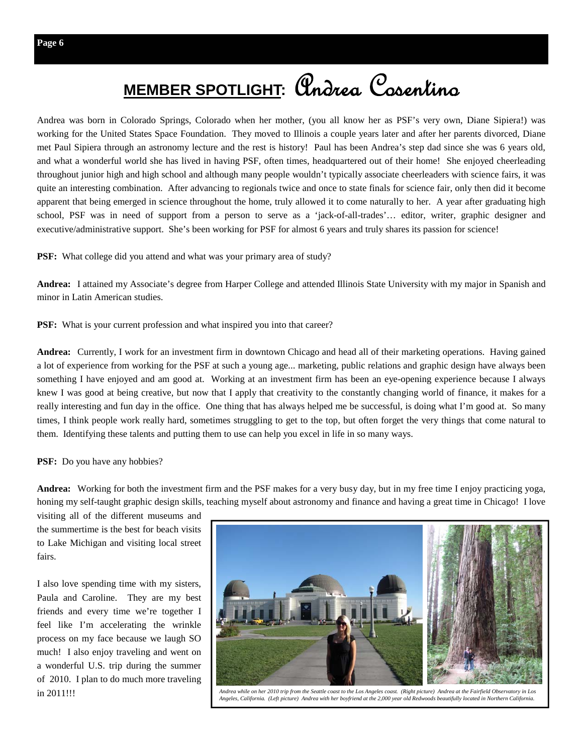# **MEMBER SPOTLIGHT:** Andrea Cosentino

Andrea was born in Colorado Springs, Colorado when her mother, (you all know her as PSF's very own, Diane Sipiera!) was working for the United States Space Foundation. They moved to Illinois a couple years later and after her parents divorced, Diane met Paul Sipiera through an astronomy lecture and the rest is history! Paul has been Andrea's step dad since she was 6 years old, and what a wonderful world she has lived in having PSF, often times, headquartered out of their home! She enjoyed cheerleading throughout junior high and high school and although many people wouldn't typically associate cheerleaders with science fairs, it was quite an interesting combination. After advancing to regionals twice and once to state finals for science fair, only then did it become apparent that being emerged in science throughout the home, truly allowed it to come naturally to her. A year after graduating high school, PSF was in need of support from a person to serve as a 'jack-of-all-trades'… editor, writer, graphic designer and executive/administrative support. She's been working for PSF for almost 6 years and truly shares its passion for science!

PSF: What college did you attend and what was your primary area of study?

**Andrea:** I attained my Associate's degree from Harper College and attended Illinois State University with my major in Spanish and minor in Latin American studies.

**PSF:** What is your current profession and what inspired you into that career?

**Andrea:** Currently, I work for an investment firm in downtown Chicago and head all of their marketing operations. Having gained a lot of experience from working for the PSF at such a young age... marketing, public relations and graphic design have always been something I have enjoyed and am good at. Working at an investment firm has been an eye-opening experience because I always knew I was good at being creative, but now that I apply that creativity to the constantly changing world of finance, it makes for a really interesting and fun day in the office. One thing that has always helped me be successful, is doing what I'm good at. So many times, I think people work really hard, sometimes struggling to get to the top, but often forget the very things that come natural to them. Identifying these talents and putting them to use can help you excel in life in so many ways.

**PSF:** Do you have any hobbies?

**Andrea:** Working for both the investment firm and the PSF makes for a very busy day, but in my free time I enjoy practicing yoga, honing my self-taught graphic design skills, teaching myself about astronomy and finance and having a great time in Chicago! I love

visiting all of the different museums and the summertime is the best for beach visits to Lake Michigan and visiting local street fairs.

I also love spending time with my sisters, Paula and Caroline. They are my best friends and every time we're together I feel like I'm accelerating the wrinkle process on my face because we laugh SO much! I also enjoy traveling and went on a wonderful U.S. trip during the summer of 2010. I plan to do much more traveling



in 2011!!! *Andrea while on her 2010 trip from the Seattle coast to the Los Angeles coast. (Right picture) Andrea at the Fairfield Observatory in Los Angeles, California. (Left picture) Andrea with her boyfriend at the 2,000 year old Redwoods beautifully located in Northern California.*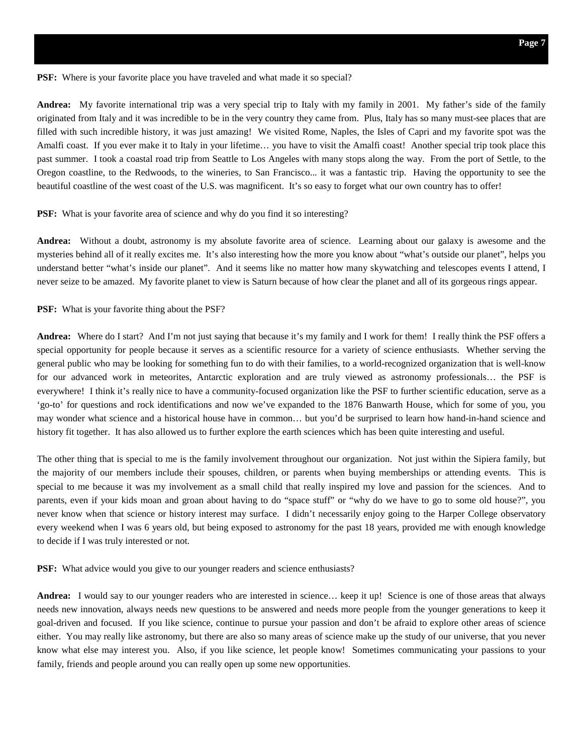**PSF:** Where is your favorite place you have traveled and what made it so special?

**Andrea:** My favorite international trip was a very special trip to Italy with my family in 2001. My father's side of the family originated from Italy and it was incredible to be in the very country they came from. Plus, Italy has so many must-see places that are filled with such incredible history, it was just amazing! We visited Rome, Naples, the Isles of Capri and my favorite spot was the Amalfi coast. If you ever make it to Italy in your lifetime… you have to visit the Amalfi coast! Another special trip took place this past summer. I took a coastal road trip from Seattle to Los Angeles with many stops along the way. From the port of Settle, to the Oregon coastline, to the Redwoods, to the wineries, to San Francisco... it was a fantastic trip. Having the opportunity to see the beautiful coastline of the west coast of the U.S. was magnificent. It's so easy to forget what our own country has to offer!

**PSF:** What is your favorite area of science and why do you find it so interesting?

**Andrea:** Without a doubt, astronomy is my absolute favorite area of science. Learning about our galaxy is awesome and the mysteries behind all of it really excites me. It's also interesting how the more you know about "what's outside our planet", helps you understand better "what's inside our planet". And it seems like no matter how many skywatching and telescopes events I attend, I never seize to be amazed. My favorite planet to view is Saturn because of how clear the planet and all of its gorgeous rings appear.

**PSF:** What is your favorite thing about the PSF?

**Andrea:** Where do I start? And I'm not just saying that because it's my family and I work for them! I really think the PSF offers a special opportunity for people because it serves as a scientific resource for a variety of science enthusiasts. Whether serving the general public who may be looking for something fun to do with their families, to a world-recognized organization that is well-know for our advanced work in meteorites, Antarctic exploration and are truly viewed as astronomy professionals… the PSF is everywhere! I think it's really nice to have a community-focused organization like the PSF to further scientific education, serve as a 'go-to' for questions and rock identifications and now we've expanded to the 1876 Banwarth House, which for some of you, you may wonder what science and a historical house have in common… but you'd be surprised to learn how hand-in-hand science and history fit together. It has also allowed us to further explore the earth sciences which has been quite interesting and useful.

The other thing that is special to me is the family involvement throughout our organization. Not just within the Sipiera family, but the majority of our members include their spouses, children, or parents when buying memberships or attending events. This is special to me because it was my involvement as a small child that really inspired my love and passion for the sciences. And to parents, even if your kids moan and groan about having to do "space stuff" or "why do we have to go to some old house?", you never know when that science or history interest may surface. I didn't necessarily enjoy going to the Harper College observatory every weekend when I was 6 years old, but being exposed to astronomy for the past 18 years, provided me with enough knowledge to decide if I was truly interested or not.

**PSF:** What advice would you give to our younger readers and science enthusiasts?

**Andrea:** I would say to our younger readers who are interested in science… keep it up! Science is one of those areas that always needs new innovation, always needs new questions to be answered and needs more people from the younger generations to keep it goal-driven and focused. If you like science, continue to pursue your passion and don't be afraid to explore other areas of science either. You may really like astronomy, but there are also so many areas of science make up the study of our universe, that you never know what else may interest you. Also, if you like science, let people know! Sometimes communicating your passions to your family, friends and people around you can really open up some new opportunities.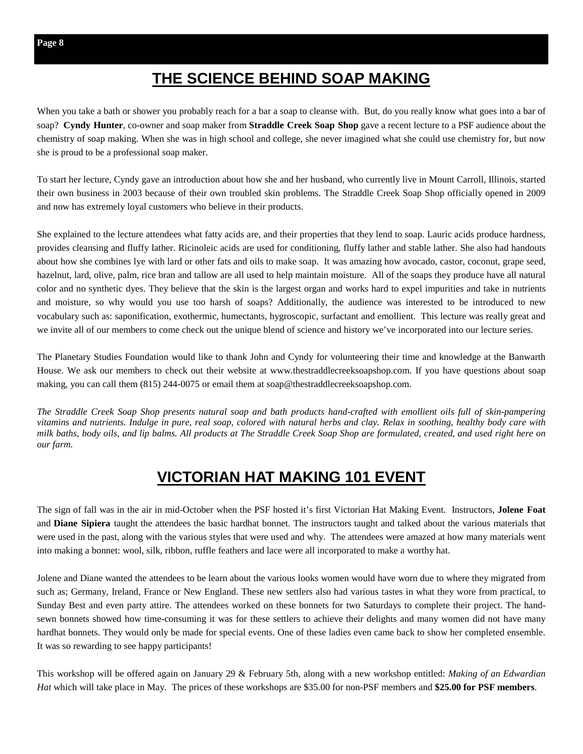## **THE SCIENCE BEHIND SOAP MAKING**

When you take a bath or shower you probably reach for a bar a soap to cleanse with. But, do you really know what goes into a bar of soap? **Cyndy Hunter**, co-owner and soap maker from **Straddle Creek Soap Shop** gave a recent lecture to a PSF audience about the chemistry of soap making. When she was in high school and college, she never imagined what she could use chemistry for, but now she is proud to be a professional soap maker.

To start her lecture, Cyndy gave an introduction about how she and her husband, who currently live in Mount Carroll, Illinois, started their own business in 2003 because of their own troubled skin problems. The Straddle Creek Soap Shop officially opened in 2009 and now has extremely loyal customers who believe in their products.

She explained to the lecture attendees what fatty acids are, and their properties that they lend to soap. Lauric acids produce hardness, provides cleansing and fluffy lather. Ricinoleic acids are used for conditioning, fluffy lather and stable lather. She also had handouts about how she combines lye with lard or other fats and oils to make soap. It was amazing how avocado, castor, coconut, grape seed, hazelnut, lard, olive, palm, rice bran and tallow are all used to help maintain moisture. All of the soaps they produce have all natural color and no synthetic dyes. They believe that the skin is the largest organ and works hard to expel impurities and take in nutrients and moisture, so why would you use too harsh of soaps? Additionally, the audience was interested to be introduced to new vocabulary such as: saponification, exothermic, humectants, hygroscopic, surfactant and emollient. This lecture was really great and we invite all of our members to come check out the unique blend of science and history we've incorporated into our lecture series.

The Planetary Studies Foundation would like to thank John and Cyndy for volunteering their time and knowledge at the Banwarth House. We ask our members to check out their website at www.thestraddlecreeksoapshop.com. If you have questions about soap making, you can call them (815) 244-0075 or email them at soap@thestraddlecreeksoapshop.com.

*The Straddle Creek Soap Shop presents natural soap and bath products hand-crafted with emollient oils full of skin-pampering vitamins and nutrients. Indulge in pure, real soap, colored with natural herbs and clay. Relax in soothing, healthy body care with milk baths, body oils, and lip balms. All products at The Straddle Creek Soap Shop are formulated, created, and used right here on our farm.* 

## **VICTORIAN HAT MAKING 101 EVENT**

The sign of fall was in the air in mid-October when the PSF hosted it's first Victorian Hat Making Event. Instructors, **Jolene Foat**  and **Diane Sipiera** taught the attendees the basic hardhat bonnet. The instructors taught and talked about the various materials that were used in the past, along with the various styles that were used and why. The attendees were amazed at how many materials went into making a bonnet: wool, silk, ribbon, ruffle feathers and lace were all incorporated to make a worthy hat.

Jolene and Diane wanted the attendees to be learn about the various looks women would have worn due to where they migrated from such as; Germany, Ireland, France or New England. These new settlers also had various tastes in what they wore from practical, to Sunday Best and even party attire. The attendees worked on these bonnets for two Saturdays to complete their project. The handsewn bonnets showed how time-consuming it was for these settlers to achieve their delights and many women did not have many hardhat bonnets. They would only be made for special events. One of these ladies even came back to show her completed ensemble. It was so rewarding to see happy participants!

This workshop will be offered again on January 29 & February 5th, along with a new workshop entitled: *Making of an Edwardian Hat* which will take place in May. The prices of these workshops are \$35.00 for non-PSF members and **\$25.00 for PSF members**.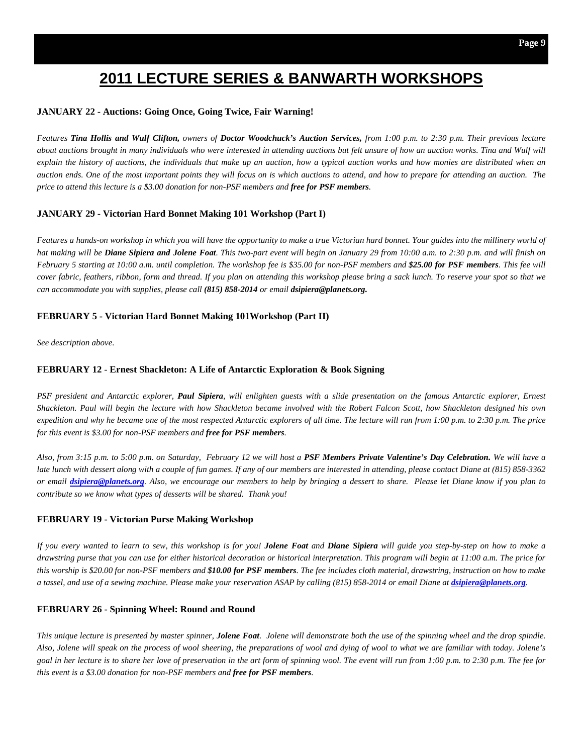## **2011 LECTURE SERIES & BANWARTH WORKSHOPS**

#### **JANUARY 22** - **Auctions: Going Once, Going Twice, Fair Warning!**

*Features Tina Hollis and Wulf Clifton, owners of Doctor Woodchuck's Auction Services, from 1:00 p.m. to 2:30 p.m. Their previous lecture about auctions brought in many individuals who were interested in attending auctions but felt unsure of how an auction works. Tina and Wulf will*  explain the history of auctions, the individuals that make up an auction, how a typical auction works and how monies are distributed when an *auction ends. One of the most important points they will focus on is which auctions to attend, and how to prepare for attending an auction. The price to attend this lecture is a \$3.00 donation for non-PSF members and free for PSF members.* 

#### **JANUARY 29** - **Victorian Hard Bonnet Making 101 Workshop (Part I)**

Features a hands-on workshop in which you will have the opportunity to make a true Victorian hard bonnet. Your guides into the millinery world of *hat making will be Diane Sipiera and Jolene Foat. This two-part event will begin on January 29 from 10:00 a.m. to 2:30 p.m. and will finish on February 5 starting at 10:00 a.m. until completion. The workshop fee is \$35.00 for non-PSF members and \$25.00 for PSF members. This fee will cover fabric, feathers, ribbon, form and thread. If you plan on attending this workshop please bring a sack lunch. To reserve your spot so that we can accommodate you with supplies, please call (815) 858-2014 or email dsipiera@planets.org.* 

#### **FEBRUARY 5 - Victorian Hard Bonnet Making 101Workshop (Part II)**

*See description above.* 

#### **FEBRUARY 12** - **Ernest Shackleton: A Life of Antarctic Exploration & Book Signing**

*PSF president and Antarctic explorer, Paul Sipiera, will enlighten guests with a slide presentation on the famous Antarctic explorer, Ernest Shackleton. Paul will begin the lecture with how Shackleton became involved with the Robert Falcon Scott, how Shackleton designed his own expedition and why he became one of the most respected Antarctic explorers of all time. The lecture will run from 1:00 p.m. to 2:30 p.m. The price for this event is \$3.00 for non-PSF members and free for PSF members.* 

*Also, from 3:15 p.m. to 5:00 p.m. on Saturday, February 12 we will host a PSF Members Private Valentine's Day Celebration. We will have a late lunch with dessert along with a couple of fun games. If any of our members are interested in attending, please contact Diane at (815) 858-3362 or email dsipiera@planets.org. Also, we encourage our members to help by bringing a dessert to share. Please let Diane know if you plan to contribute so we know what types of desserts will be shared. Thank you!* 

#### **FEBRUARY 19 - Victorian Purse Making Workshop**

*If you every wanted to learn to sew, this workshop is for you! Jolene Foat and Diane Sipiera will guide you step-by-step on how to make a drawstring purse that you can use for either historical decoration or historical interpretation. This program will begin at 11:00 a.m. The price for this worship is \$20.00 for non-PSF members and \$10.00 for PSF members. The fee includes cloth material, drawstring, instruction on how to make a tassel, and use of a sewing machine. Please make your reservation ASAP by calling (815) 858-2014 or email Diane at dsipiera@planets.org.* 

#### **FEBRUARY 26 - Spinning Wheel: Round and Round**

*This unique lecture is presented by master spinner, Jolene Foat. Jolene will demonstrate both the use of the spinning wheel and the drop spindle. Also, Jolene will speak on the process of wool sheering, the preparations of wool and dying of wool to what we are familiar with today. Jolene's goal in her lecture is to share her love of preservation in the art form of spinning wool. The event will run from 1:00 p.m. to 2:30 p.m. The fee for this event is a \$3.00 donation for non-PSF members and free for PSF members.*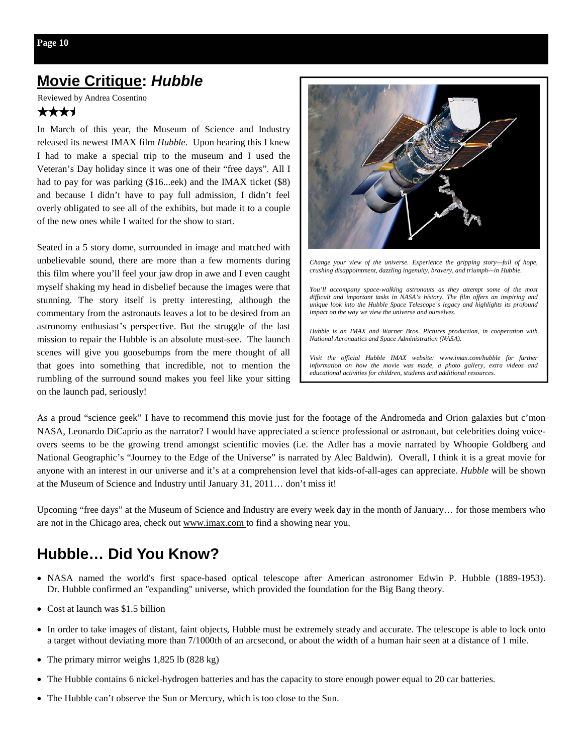## **Movie Critique:** *Hubble*

Reviewed by Andrea Cosentino

#### \*\*\*\*

In March of this year, the Museum of Science and Industry released its newest IMAX film *Hubble*. Upon hearing this I knew I had to make a special trip to the museum and I used the Veteran's Day holiday since it was one of their "free days". All I had to pay for was parking (\$16...eek) and the IMAX ticket (\$8) and because I didn't have to pay full admission, I didn't feel overly obligated to see all of the exhibits, but made it to a couple of the new ones while I waited for the show to start.

Seated in a 5 story dome, surrounded in image and matched with unbelievable sound, there are more than a few moments during this film where you'll feel your jaw drop in awe and I even caught myself shaking my head in disbelief because the images were that stunning. The story itself is pretty interesting, although the commentary from the astronauts leaves a lot to be desired from an astronomy enthusiast's perspective. But the struggle of the last mission to repair the Hubble is an absolute must-see. The launch scenes will give you goosebumps from the mere thought of all that goes into something that incredible, not to mention the rumbling of the surround sound makes you feel like your sitting on the launch pad, seriously!



*Change your view of the universe. Experience the gripping story—full of hope, crushing disappointment, dazzling ingenuity, bravery, and triumph—in Hubble.* 

*You'll accompany space-walking astronauts as they attempt some of the most difficult and important tasks in NASA's history. The film offers an inspiring and unique look into the Hubble Space Telescope's legacy and highlights its profound impact on the way we view the universe and ourselves.* 

*Hubble is an IMAX and Warner Bros. Pictures production, in cooperation with National Aeronautics and Space Administration (NASA).* 

Visit the official Hubble IMAX website: www.imax.com/hubble for further *information on how the movie was made, a photo gallery, extra videos and educational activities for children, students and additional resources.* 

As a proud "science geek" I have to recommend this movie just for the footage of the Andromeda and Orion galaxies but c'mon NASA, Leonardo DiCaprio as the narrator? I would have appreciated a science professional or astronaut, but celebrities doing voiceovers seems to be the growing trend amongst scientific movies (i.e. the Adler has a movie narrated by Whoopie Goldberg and National Geographic's "Journey to the Edge of the Universe" is narrated by Alec Baldwin). Overall, I think it is a great movie for anyone with an interest in our universe and it's at a comprehension level that kids-of-all-ages can appreciate. *Hubble* will be shown at the Museum of Science and Industry until January 31, 2011… don't miss it!

Upcoming "free days" at the Museum of Science and Industry are every week day in the month of January… for those members who are not in the Chicago area, check out www.imax.com to find a showing near you.

## **Hubble… Did You Know?**

- NASA named the world's first space-based optical telescope after American astronomer Edwin P. Hubble (1889-1953). Dr. Hubble confirmed an "expanding" universe, which provided the foundation for the Big Bang theory.
- Cost at launch was \$1.5 billion
- In order to take images of distant, faint objects, Hubble must be extremely steady and accurate. The telescope is able to lock onto a target without deviating more than 7/1000th of an arcsecond, or about the width of a human hair seen at a distance of 1 mile.
- The primary mirror weighs 1,825 lb (828 kg)
- The Hubble contains 6 nickel-hydrogen batteries and has the capacity to store enough power equal to 20 car batteries.
- The Hubble can't observe the Sun or Mercury, which is too close to the Sun.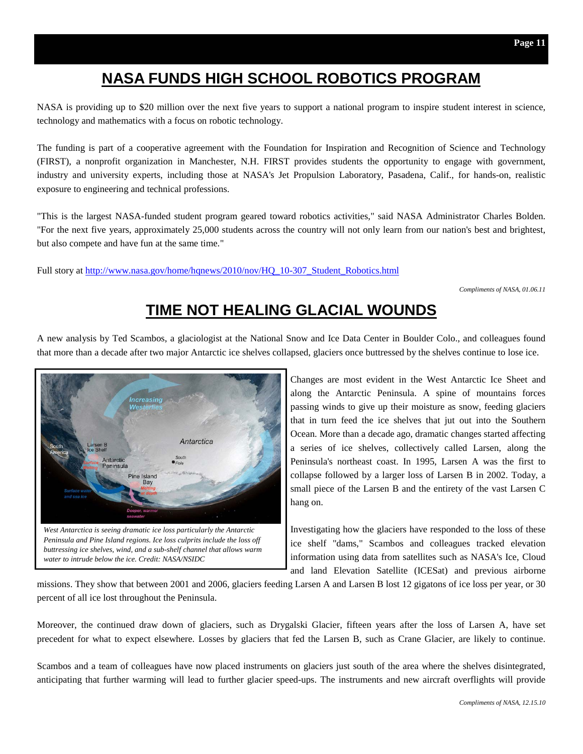## **NASA FUNDS HIGH SCHOOL ROBOTICS PROGRAM**

NASA is providing up to \$20 million over the next five years to support a national program to inspire student interest in science, technology and mathematics with a focus on robotic technology.

The funding is part of a cooperative agreement with the Foundation for Inspiration and Recognition of Science and Technology (FIRST), a nonprofit organization in Manchester, N.H. FIRST provides students the opportunity to engage with government, industry and university experts, including those at NASA's Jet Propulsion Laboratory, Pasadena, Calif., for hands-on, realistic exposure to engineering and technical professions.

"This is the largest NASA-funded student program geared toward robotics activities," said NASA Administrator Charles Bolden. "For the next five years, approximately 25,000 students across the country will not only learn from our nation's best and brightest, but also compete and have fun at the same time."

Full story at http://www.nasa.gov/home/hqnews/2010/nov/HQ\_10-307\_Student\_Robotics.html

*Compliments of NASA, 01.06.11* 

## **TIME NOT HEALING GLACIAL WOUNDS**

A new analysis by Ted Scambos, a glaciologist at the National Snow and Ice Data Center in Boulder Colo., and colleagues found that more than a decade after two major Antarctic ice shelves collapsed, glaciers once buttressed by the shelves continue to lose ice.



Changes are most evident in the West Antarctic Ice Sheet and along the Antarctic Peninsula. A spine of mountains forces passing winds to give up their moisture as snow, feeding glaciers that in turn feed the ice shelves that jut out into the Southern Ocean. More than a decade ago, dramatic changes started affecting a series of ice shelves, collectively called Larsen, along the Peninsula's northeast coast. In 1995, Larsen A was the first to collapse followed by a larger loss of Larsen B in 2002. Today, a small piece of the Larsen B and the entirety of the vast Larsen C hang on.

Investigating how the glaciers have responded to the loss of these ice shelf "dams," Scambos and colleagues tracked elevation information using data from satellites such as NASA's Ice, Cloud and land Elevation Satellite (ICESat) and previous airborne

missions. They show that between 2001 and 2006, glaciers feeding Larsen A and Larsen B lost 12 gigatons of ice loss per year, or 30 percent of all ice lost throughout the Peninsula.

Moreover, the continued draw down of glaciers, such as Drygalski Glacier, fifteen years after the loss of Larsen A, have set precedent for what to expect elsewhere. Losses by glaciers that fed the Larsen B, such as Crane Glacier, are likely to continue.

Scambos and a team of colleagues have now placed instruments on glaciers just south of the area where the shelves disintegrated, anticipating that further warming will lead to further glacier speed-ups. The instruments and new aircraft overflights will provide